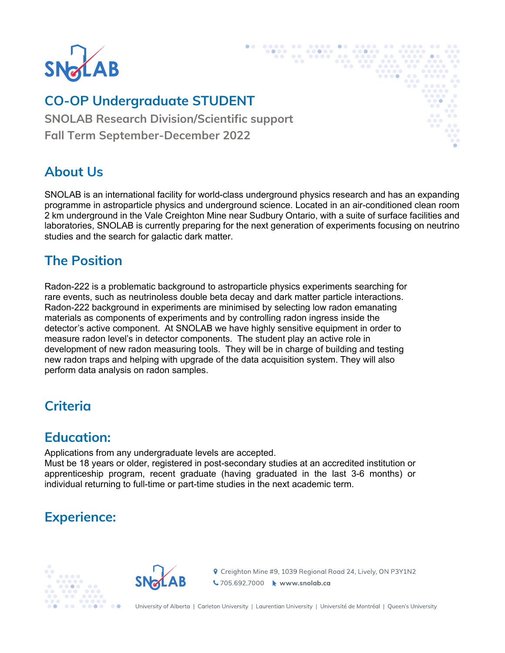

# **Student – {INSERT POSITION TITLE} CO-OP Undergraduate STUDENT**

{INSERT DIVISION} **SNOLAB Research Division/Scientific support** {INSERT TERM – Summer, Winter, Spring} **Fall Term September-December 2022**

#### **About Us**

SNOLAB is an international facility for world-class underground physics research and has an expanding programme in astroparticle physics and underground science. Located in an air-conditioned clean room 2 km underground in the Vale Creighton Mine near Sudbury Ontario, with a suite of surface facilities and laboratories, SNOLAB is currently preparing for the next generation of experiments focusing on neutrino studies and the search for galactic dark matter.

### **The Position**

Radon-222 is a problematic background to astroparticle physics experiments searching for rare events, such as neutrinoless double beta decay and dark matter particle interactions. Radon-222 background in experiments are minimised by selecting low radon emanating materials as components of experiments and by controlling radon ingress inside the detector's active component. At SNOLAB we have highly sensitive equipment in order to measure radon level's in detector components. The student play an active role in development of new radon measuring tools. They will be in charge of building and testing new radon traps and helping with upgrade of the data acquisition system. They will also perform data analysis on radon samples.

### **Criteria**

#### **Education:**

Applications from any undergraduate levels are accepted.

Must be 18 years or older, registered in post-secondary studies at an accredited institution or apprenticeship program, recent graduate (having graduated in the last 3-6 months) or individual returning to full-time or part-time studies in the next academic term.

# **Experience:**





**የ** Creighton Mine #9, 1039 Regional Road 24, Lively, ON P3Y1N2 ↓705.692.7000 → www.snolab.ca

University of Alberta | Carleton University | Laurentian University | Université de Montréal | Queen's University